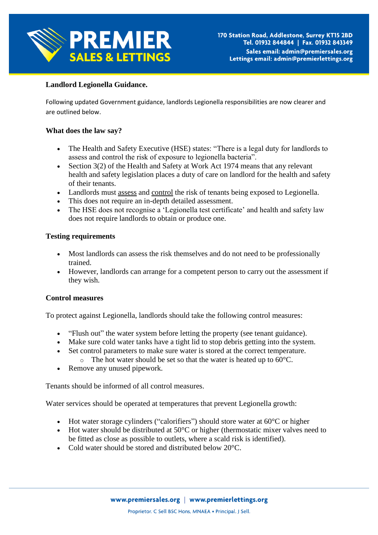

# **Landlord Legionella Guidance.**

Following updated Government guidance, landlords Legionella responsibilities are now clearer and are outlined below.

## **What does the law say?**

- The Health and Safety Executive (HSE) states: "There is a legal duty for landlords to assess and control the risk of exposure to legionella bacteria".
- Section  $3(2)$  of the Health and Safety at Work Act 1974 means that any relevant health and safety legislation places a duty of care on landlord for the health and safety of their tenants.
- Landlords must assess and control the risk of tenants being exposed to Legionella.
- This does not require an in-depth detailed assessment.
- The HSE does not recognise a 'Legionella test certificate' and health and safety law does not require landlords to obtain or produce one.

### **Testing requirements**

- Most landlords can assess the risk themselves and do not need to be professionally trained.
- However, landlords can arrange for a competent person to carry out the assessment if they wish.

### **Control measures**

To protect against Legionella, landlords should take the following control measures:

- "Flush out" the water system before letting the property (see tenant guidance).
- Make sure cold water tanks have a tight lid to stop debris getting into the system.
- Set control parameters to make sure water is stored at the correct temperature.
	- $\circ$  The hot water should be set so that the water is heated up to 60 $\degree$ C.
- Remove any unused pipework.

Tenants should be informed of all control measures.

Water services should be operated at temperatures that prevent Legionella growth:

- Hot water storage cylinders ("calorifiers") should store water at  $60^{\circ}$ C or higher
- Hot water should be distributed at  $50^{\circ}$ C or higher (thermostatic mixer valves need to be fitted as close as possible to outlets, where a scald risk is identified).
- Cold water should be stored and distributed below 20 °C.